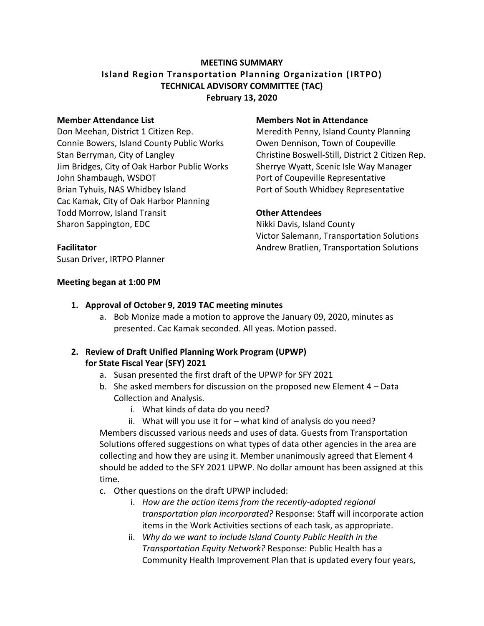# **MEETING SUMMARY Island Region Transportation Planning Organization (IRTPO) TECHNICAL ADVISORY COMMITTEE (TAC) February 13, 2020**

Don Meehan, District 1 Citizen Rep. Meredith Penny, Island County Planning Connie Bowers, Island County Public Works Owen Dennison, Town of Coupeville Stan Berryman, City of Langley Christine Boswell-Still, District 2 Citizen Rep. Jim Bridges, City of Oak Harbor Public Works Sherrye Wyatt, Scenic Isle Way Manager John Shambaugh, WSDOT **Port of Coupeville Representative** Brian Tyhuis, NAS Whidbey Island Port of South Whidbey Representative Cac Kamak, City of Oak Harbor Planning Todd Morrow, Island Transit **Other Attendees** Sharon Sappington, EDC Nikki Davis, Island County

### **Member Attendance List Members Not in Attendance**

Victor Salemann, Transportation Solutions **Facilitator Facilitator Andrew Bratlien, Transportation Solutions Facilitator Andrew Bratlien**, **Transportation Solutions** 

Susan Driver, IRTPO Planner

### **Meeting began at 1:00 PM**

### **1. Approval of October 9, 2019 TAC meeting minutes**

a. Bob Monize made a motion to approve the January 09, 2020, minutes as presented. Cac Kamak seconded. All yeas. Motion passed.

# **2. Review of Draft Unified Planning Work Program (UPWP) for State Fiscal Year (SFY) 2021**

- a. Susan presented the first draft of the UPWP for SFY 2021
- b. She asked members for discussion on the proposed new Element 4 Data Collection and Analysis.
	- i. What kinds of data do you need?
	- ii. What will you use it for what kind of analysis do you need?

Members discussed various needs and uses of data. Guests from Transportation Solutions offered suggestions on what types of data other agencies in the area are collecting and how they are using it. Member unanimously agreed that Element 4 should be added to the SFY 2021 UPWP. No dollar amount has been assigned at this time.

- c. Other questions on the draft UPWP included:
	- i. *How are the action items from the recently-adopted regional transportation plan incorporated?* Response: Staff will incorporate action items in the Work Activities sections of each task, as appropriate.
	- ii. *Why do we want to include Island County Public Health in the Transportation Equity Network?* Response: Public Health has a Community Health Improvement Plan that is updated every four years,